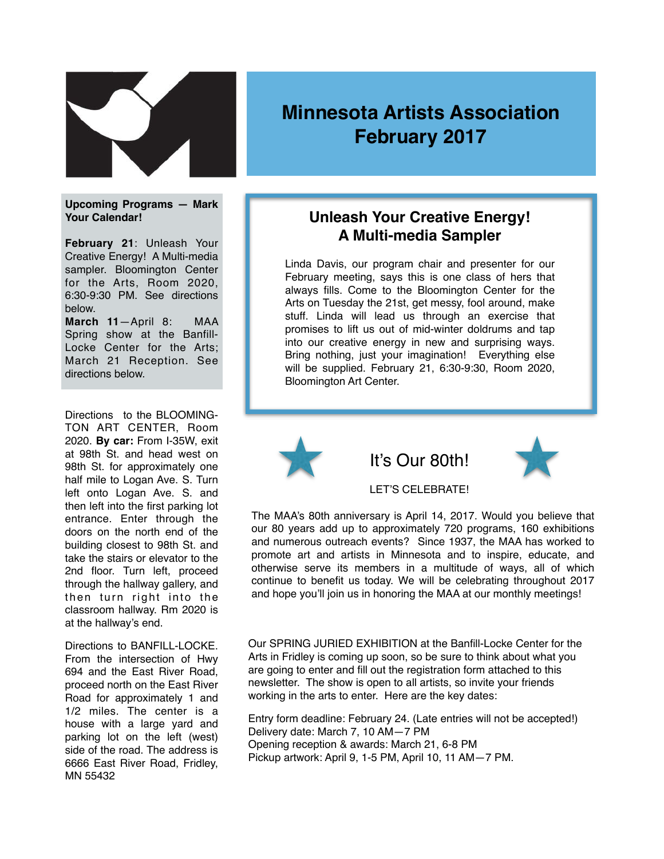

# **Minnesota Artists Association February 2017**

**Upcoming Programs — Mark Your Calendar!**

**February 21**: Unleash Your Creative Energy! A Multi-media sampler. Bloomington Center for the Arts, Room 2020, 6:30-9:30 PM. See directions below.

**March 11**—April 8: MAA Spring show at the Banfill-Locke Center for the Arts; March 21 Reception. See directions below.

Directions to the BLOOMING-TON ART CENTER, Room 2020. **By car:** From I-35W, exit at 98th St. and head west on 98th St. for approximately one half mile to Logan Ave. S. Turn left onto Logan Ave. S. and then left into the first parking lot entrance. Enter through the doors on the north end of the building closest to 98th St. and take the stairs or elevator to the 2nd floor. Turn left, proceed through the hallway gallery, and then turn right into the classroom hallway. Rm 2020 is at the hallway's end.

Directions to BANFILL-LOCKE. From the intersection of Hwy 694 and the East River Road, proceed north on the East River Road for approximately 1 and 1/2 miles. The center is a house with a large yard and parking lot on the left (west) side of the road. The address is 6666 East River Road, Fridley, MN 55432

## **Unleash Your Creative Energy! A Multi-media Sampler**

Linda Davis, our program chair and presenter for our February meeting, says this is one class of hers that always fills. Come to the Bloomington Center for the Arts on Tuesday the 21st, get messy, fool around, make stuff. Linda will lead us through an exercise that promises to lift us out of mid-winter doldrums and tap into our creative energy in new and surprising ways. Bring nothing, just your imagination! Everything else will be supplied. February 21, 6:30-9:30, Room 2020, Bloomington Art Center.



LET'S CELEBRATE!

The MAA's 80th anniversary is April 14, 2017. Would you believe that our 80 years add up to approximately 720 programs, 160 exhibitions and numerous outreach events? Since 1937, the MAA has worked to promote art and artists in Minnesota and to inspire, educate, and otherwise serve its members in a multitude of ways, all of which continue to benefit us today. We will be celebrating throughout 2017 and hope you'll join us in honoring the MAA at our monthly meetings!

Our SPRING JURIED EXHIBITION at the Banfill-Locke Center for the Arts in Fridley is coming up soon, so be sure to think about what you are going to enter and fill out the registration form attached to this newsletter. The show is open to all artists, so invite your friends working in the arts to enter. Here are the key dates:

Entry form deadline: February 24. (Late entries will not be accepted!) Delivery date: March 7, 10 AM—7 PM Opening reception & awards: March 21, 6-8 PM Pickup artwork: April 9, 1-5 PM, April 10, 11 AM—7 PM.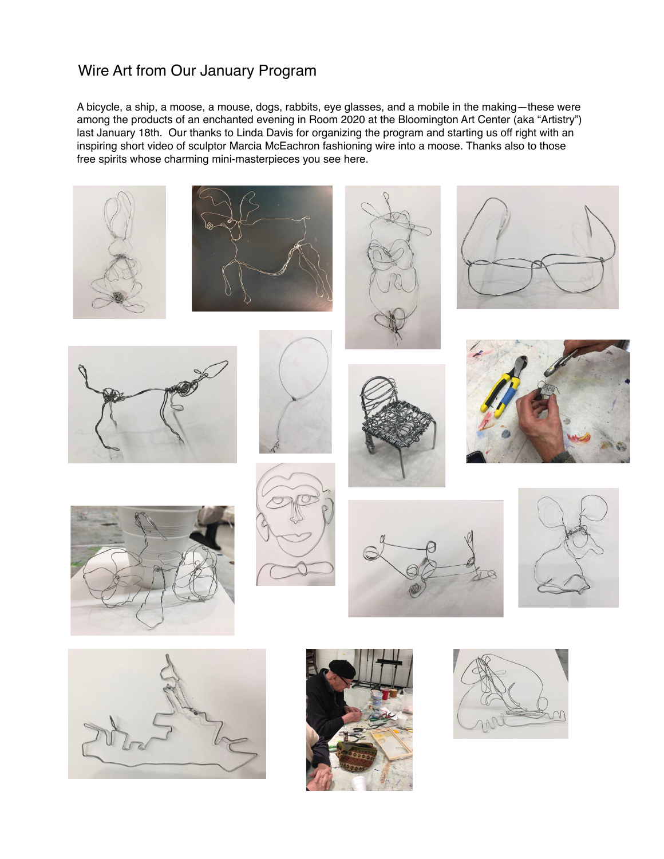# Wire Art from Our January Program

A bicycle, a ship, a moose, a mouse, dogs, rabbits, eye glasses, and a mobile in the making—these were among the products of an enchanted evening in Room 2020 at the Bloomington Art Center (aka "Artistry") last January 18th. Our thanks to Linda Davis for organizing the program and starting us off right with an inspiring short video of sculptor Marcia McEachron fashioning wire into a moose. Thanks also to those free spirits whose charming mini-masterpieces you see here.